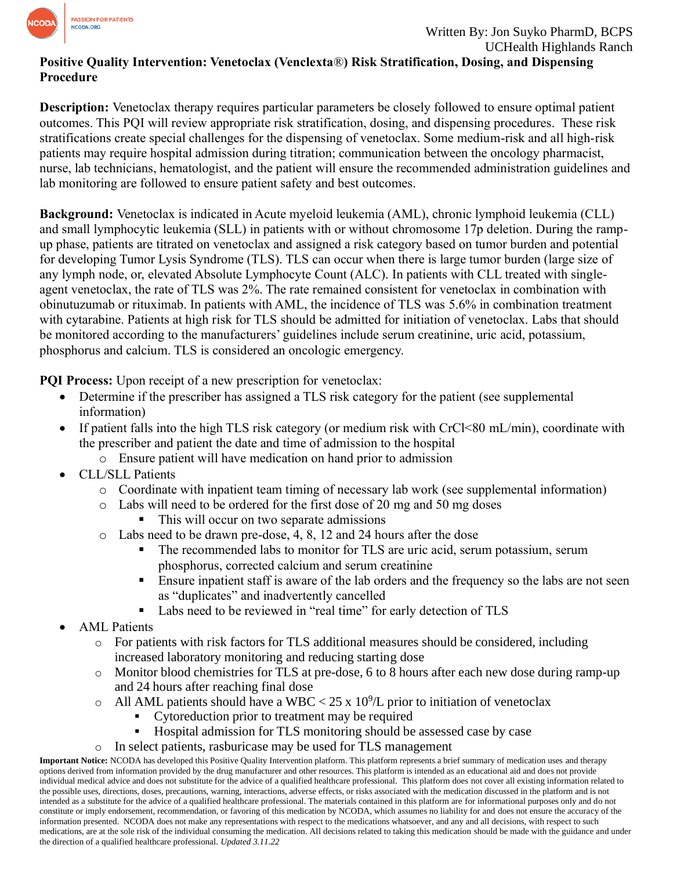

### **Positive Quality Intervention: Venetoclax (Venclexta**®**) Risk Stratification, Dosing, and Dispensing Procedure**

**Description:** Venetoclax therapy requires particular parameters be closely followed to ensure optimal patient outcomes. This PQI will review appropriate risk stratification, dosing, and dispensing procedures. These risk stratifications create special challenges for the dispensing of venetoclax. Some medium-risk and all high-risk patients may require hospital admission during titration; communication between the oncology pharmacist, nurse, lab technicians, hematologist, and the patient will ensure the recommended administration guidelines and lab monitoring are followed to ensure patient safety and best outcomes.

**Background:** Venetoclax is indicated in Acute myeloid leukemia (AML), chronic lymphoid leukemia (CLL) and small lymphocytic leukemia (SLL) in patients with or without chromosome 17p deletion. During the rampup phase, patients are titrated on venetoclax and assigned a risk category based on tumor burden and potential for developing Tumor Lysis Syndrome (TLS). TLS can occur when there is large tumor burden (large size of any lymph node, or, elevated Absolute Lymphocyte Count (ALC). In patients with CLL treated with singleagent venetoclax, the rate of TLS was 2%. The rate remained consistent for venetoclax in combination with obinutuzumab or rituximab. In patients with AML, the incidence of TLS was 5.6% in combination treatment with cytarabine. Patients at high risk for TLS should be admitted for initiation of venetoclax. Labs that should be monitored according to the manufacturers' guidelines include serum creatinine, uric acid, potassium, phosphorus and calcium. TLS is considered an oncologic emergency.

**PQI Process:** Upon receipt of a new prescription for venetoclax:

- Determine if the prescriber has assigned a TLS risk category for the patient (see supplemental information)
- If patient falls into the high TLS risk category (or medium risk with CrCl<80 mL/min), coordinate with the prescriber and patient the date and time of admission to the hospital
	- o Ensure patient will have medication on hand prior to admission
- CLL/SLL Patients
	- o Coordinate with inpatient team timing of necessary lab work (see supplemental information)
	- o Labs will need to be ordered for the first dose of 20 mg and 50 mg doses
		- This will occur on two separate admissions
	- o Labs need to be drawn pre-dose, 4, 8, 12 and 24 hours after the dose
		- **•** The recommended labs to monitor for TLS are uric acid, serum potassium, serum phosphorus, corrected calcium and serum creatinine
		- Ensure inpatient staff is aware of the lab orders and the frequency so the labs are not seen as "duplicates" and inadvertently cancelled
		- Labs need to be reviewed in "real time" for early detection of TLS
- AML Patients
	- o For patients with risk factors for TLS additional measures should be considered, including increased laboratory monitoring and reducing starting dose
	- o Monitor blood chemistries for TLS at pre-dose, 6 to 8 hours after each new dose during ramp-up and 24 hours after reaching final dose
	- $\circ$  All AML patients should have a WBC < 25 x 10<sup>9</sup>/L prior to initiation of venetoclax
		- Cytoreduction prior to treatment may be required
		- Hospital admission for TLS monitoring should be assessed case by case
	- o In select patients, rasburicase may be used for TLS management

**Important Notice:** NCODA has developed this Positive Quality Intervention platform. This platform represents a brief summary of medication uses and therapy options derived from information provided by the drug manufacturer and other resources. This platform is intended as an educational aid and does not provide individual medical advice and does not substitute for the advice of a qualified healthcare professional. This platform does not cover all existing information related to the possible uses, directions, doses, precautions, warning, interactions, adverse effects, or risks associated with the medication discussed in the platform and is not intended as a substitute for the advice of a qualified healthcare professional. The materials contained in this platform are for informational purposes only and do not constitute or imply endorsement, recommendation, or favoring of this medication by NCODA, which assumes no liability for and does not ensure the accuracy of the information presented. NCODA does not make any representations with respect to the medications whatsoever, and any and all decisions, with respect to such medications, are at the sole risk of the individual consuming the medication. All decisions related to taking this medication should be made with the guidance and under the direction of a qualified healthcare professional. *Updated 3.11.22*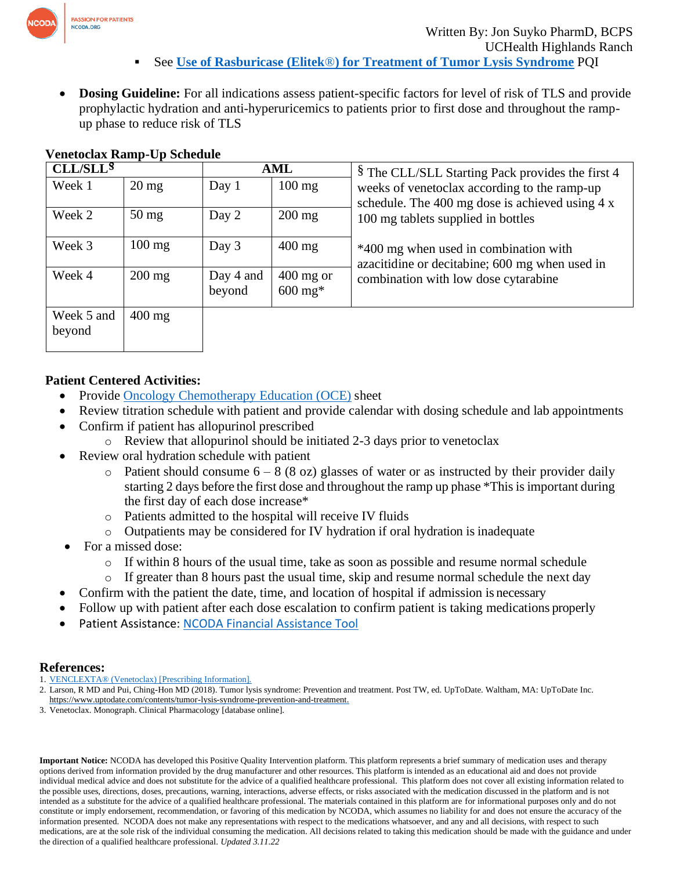

• **Dosing Guideline:** For all indications assess patient-specific factors for level of risk of TLS and provide prophylactic hydration and anti-hyperuricemics to patients prior to first dose and throughout the rampup phase to reduce risk of TLS

# **Venetoclax Ramp-Up Schedule**

| CLL/SLL <sup>§</sup> |                  | AML                 |                                     | § The CLL/SLL Starting Pack provides the first 4                                                                              |  |  |  |
|----------------------|------------------|---------------------|-------------------------------------|-------------------------------------------------------------------------------------------------------------------------------|--|--|--|
| Week 1               | $20 \text{ mg}$  | Day 1               | $100 \text{ mg}$                    | weeks of venetoclax according to the ramp-up<br>schedule. The 400 mg dose is achieved using 4 x                               |  |  |  |
| Week 2               | $50 \text{ mg}$  | Day 2               | $200 \text{ mg}$                    | 100 mg tablets supplied in bottles<br>*400 mg when used in combination with<br>azacitidine or decitabine; 600 mg when used in |  |  |  |
| Week 3               | $100 \text{ mg}$ | Day 3               | $400$ mg                            |                                                                                                                               |  |  |  |
| Week 4               | $200 \text{ mg}$ | Day 4 and<br>beyond | $400$ mg or<br>$600 \,\mathrm{mg*}$ | combination with low dose cytarabine                                                                                          |  |  |  |
| Week 5 and<br>beyond | $400 \text{ mg}$ |                     |                                     |                                                                                                                               |  |  |  |

# **Patient Centered Activities:**

- Provide [Oncology Chemotherapy Education \(OCE\)](https://www.oralchemoedsheets.com/index.php/sheet-library/24-available/generic/357-venetoclax) sheet
- Review titration schedule with patient and provide calendar with dosing schedule and lab appointments
- Confirm if patient has allopurinol prescribed
	- $\circ$  Review that allopurinol should be initiated 2-3 days prior to venetoclax
- Review oral hydration schedule with patient
	- Patient should consume  $6 8$  (8 oz) glasses of water or as instructed by their provider daily starting 2 days before the first dose and throughout the ramp up phase \*This is important during the first day of each dose increase\*
	- o Patients admitted to the hospital will receive IV fluids
	- o Outpatients may be considered for IV hydration if oral hydration is inadequate
- For a missed dose:
	- o If within 8 hours of the usual time, take as soon as possible and resume normal schedule
	- o If greater than 8 hours past the usual time, skip and resume normal schedule the next day
	- Confirm with the patient the date, time, and location of hospital if admission is necessary
- Follow up with patient after each dose escalation to confirm patient is taking medications properly
- Patient Assistance: [NCODA Financial Assistance Tool](https://www.ncoda.org/financial-assistance/)

## **References:**

- 1. [VENCLEXTA® \(Venetoclax\) \[Prescribing Information\].](https://www.accessdata.fda.gov/drugsatfda_docs/label/2016/208573s000lbl.pdf)
- 2. Larson, R MD and Pui, Ching-Hon MD (2018). Tumor lysis syndrome: Prevention and treatment. Post TW, ed. UpToDate. Waltham, MA: UpToDate Inc. https:/[/www.uptodate.com/contents/tumor-lysis-syndrome-prevention-and-treatment.](http://www.uptodate.com/contents/tumor-lysis-syndrome-prevention-and-treatment)
- 3. Venetoclax. Monograph. Clinical Pharmacology [database online].

**Important Notice:** NCODA has developed this Positive Quality Intervention platform. This platform represents a brief summary of medication uses and therapy options derived from information provided by the drug manufacturer and other resources. This platform is intended as an educational aid and does not provide individual medical advice and does not substitute for the advice of a qualified healthcare professional. This platform does not cover all existing information related to the possible uses, directions, doses, precautions, warning, interactions, adverse effects, or risks associated with the medication discussed in the platform and is not intended as a substitute for the advice of a qualified healthcare professional. The materials contained in this platform are for informational purposes only and do not constitute or imply endorsement, recommendation, or favoring of this medication by NCODA, which assumes no liability for and does not ensure the accuracy of the information presented. NCODA does not make any representations with respect to the medications whatsoever, and any and all decisions, with respect to such medications, are at the sole risk of the individual consuming the medication. All decisions related to taking this medication should be made with the guidance and under the direction of a qualified healthcare professional. *Updated 3.11.22*